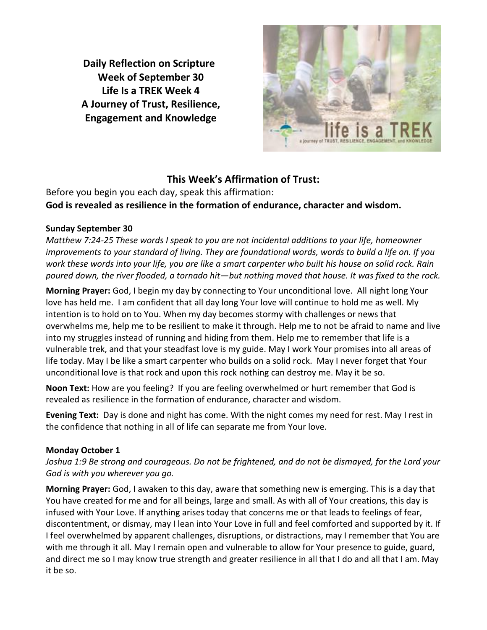**Daily Reflection on Scripture Week of September 30 Life Is a TREK Week 4 A Journey of Trust, Resilience, Engagement and Knowledge**



# **This Week's Affirmation of Trust:**

Before you begin you each day, speak this affirmation: **God is revealed as resilience in the formation of endurance, character and wisdom.**

## **Sunday September 30**

*Matthew 7:24-25 These words I speak to you are not incidental additions to your life, homeowner improvements to your standard of living. They are foundational words, words to build a life on. If you work these words into your life, you are like a smart carpenter who built his house on solid rock. Rain poured down, the river flooded, a tornado hit—but nothing moved that house. It was fixed to the rock.*

**Morning Prayer:** God, I begin my day by connecting to Your unconditional love. All night long Your love has held me. I am confident that all day long Your love will continue to hold me as well. My intention is to hold on to You. When my day becomes stormy with challenges or news that overwhelms me, help me to be resilient to make it through. Help me to not be afraid to name and live into my struggles instead of running and hiding from them. Help me to remember that life is a vulnerable trek, and that your steadfast love is my guide. May I work Your promises into all areas of life today. May I be like a smart carpenter who builds on a solid rock. May I never forget that Your unconditional love is that rock and upon this rock nothing can destroy me. May it be so.

**Noon Text:** How are you feeling? If you are feeling overwhelmed or hurt remember that God is revealed as resilience in the formation of endurance, character and wisdom.

**Evening Text:** Day is done and night has come. With the night comes my need for rest. May I rest in the confidence that nothing in all of life can separate me from Your love.

## **Monday October 1**

*Joshua 1:9 Be strong and courageous. Do not be frightened, and do not be dismayed, for the Lord your God is with you wherever you go.*

**Morning Prayer:** God, I awaken to this day, aware that something new is emerging. This is a day that You have created for me and for all beings, large and small. As with all of Your creations, this day is infused with Your Love. If anything arises today that concerns me or that leads to feelings of fear, discontentment, or dismay, may I lean into Your Love in full and feel comforted and supported by it. If I feel overwhelmed by apparent challenges, disruptions, or distractions, may I remember that You are with me through it all. May I remain open and vulnerable to allow for Your presence to guide, guard, and direct me so I may know true strength and greater resilience in all that I do and all that I am. May it be so.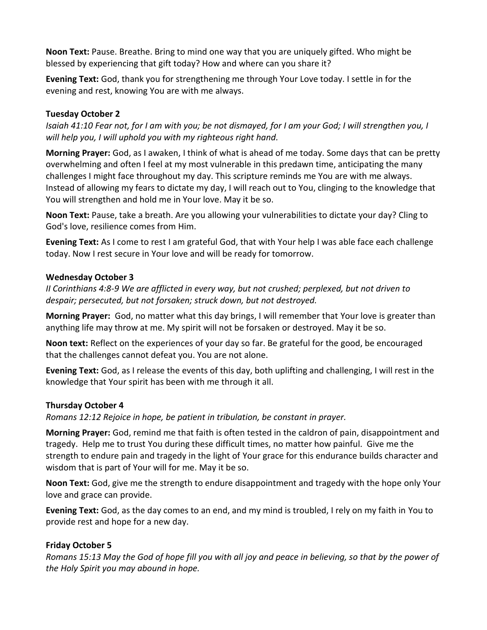**Noon Text:** Pause. Breathe. Bring to mind one way that you are uniquely gifted. Who might be blessed by experiencing that gift today? How and where can you share it?

**Evening Text:** God, thank you for strengthening me through Your Love today. I settle in for the evening and rest, knowing You are with me always.

### **Tuesday October 2**

*Isaiah 41:10 Fear not, for I am with you; be not dismayed, for I am your God; I will strengthen you, I will help you, I will uphold you with my righteous right hand.*

**Morning Prayer:** God, as I awaken, I think of what is ahead of me today. Some days that can be pretty overwhelming and often I feel at my most vulnerable in this predawn time, anticipating the many challenges I might face throughout my day. This scripture reminds me You are with me always. Instead of allowing my fears to dictate my day, I will reach out to You, clinging to the knowledge that You will strengthen and hold me in Your love. May it be so.

**Noon Text:** Pause, take a breath. Are you allowing your vulnerabilities to dictate your day? Cling to God's love, resilience comes from Him.

**Evening Text:** As I come to rest I am grateful God, that with Your help I was able face each challenge today. Now I rest secure in Your love and will be ready for tomorrow.

#### **Wednesday October 3**

*II Corinthians 4:8-9 We are afflicted in every way, but not crushed; perplexed, but not driven to despair; persecuted, but not forsaken; struck down, but not destroyed.*

**Morning Prayer:** God, no matter what this day brings, I will remember that Your love is greater than anything life may throw at me. My spirit will not be forsaken or destroyed. May it be so.

**Noon text:** Reflect on the experiences of your day so far. Be grateful for the good, be encouraged that the challenges cannot defeat you. You are not alone.

**Evening Text:** God, as I release the events of this day, both uplifting and challenging, I will rest in the knowledge that Your spirit has been with me through it all.

#### **Thursday October 4**

*Romans 12:12 Rejoice in hope, be patient in tribulation, be constant in prayer.*

**Morning Prayer:** God, remind me that faith is often tested in the caldron of pain, disappointment and tragedy. Help me to trust You during these difficult times, no matter how painful. Give me the strength to endure pain and tragedy in the light of Your grace for this endurance builds character and wisdom that is part of Your will for me. May it be so.

**Noon Text:** God, give me the strength to endure disappointment and tragedy with the hope only Your love and grace can provide.

**Evening Text:** God, as the day comes to an end, and my mind is troubled, I rely on my faith in You to provide rest and hope for a new day.

#### **Friday October 5**

*Romans 15:13 May the God of hope fill you with all joy and peace in believing, so that by the power of the Holy Spirit you may abound in hope.*